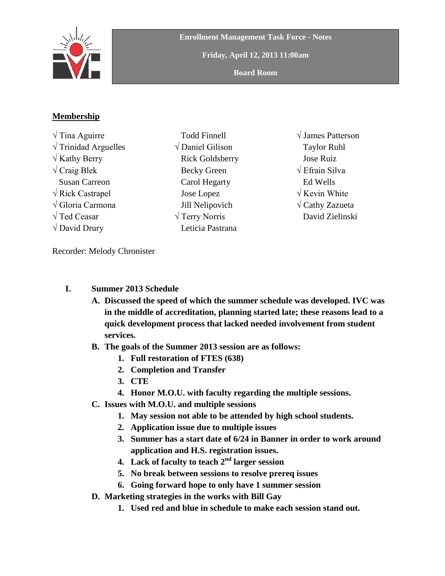

**Enrollment Management Task Force - Notes**

**Friday, April 12, 2013 11:00am**

**Board Room**

## **Membership**

√ Tina Aguirre  $\sqrt{\text{Trindad} \text{Arguelles}}$  $\sqrt{k}$ athy Berry  $\sqrt{C}$ raig Blek Susan Carreon √ Rick Castrapel √ Gloria Carmona √ Ted Ceasar  $\sqrt{}$  David Drury

- Todd Finnell √ Daniel Gilison Rick Goldsberry Becky Green Carol Hegarty Jose Lopez Jill Nelipovich √ Terry Norris Leticia Pastrana
- √ James Patterson Taylor Ruhl Jose Ruiz √ Efrain Silva Ed Wells √ Kevin White **√** Cathy Zazueta David Zielinski

Recorder: Melody Chronister

- **I. Summer 2013 Schedule**
	- **A. Discussed the speed of which the summer schedule was developed. IVC was in the middle of accreditation, planning started late; these reasons lead to a quick development process that lacked needed involvement from student services.**
	- **B. The goals of the Summer 2013 session are as follows:** 
		- **1. Full restoration of FTES (638)**
		- **2. Completion and Transfer**
		- **3. CTE**
		- **4. Honor M.O.U. with faculty regarding the multiple sessions.**
	- **C. Issues with M.O.U. and multiple sessions**
		- **1. May session not able to be attended by high school students.**
		- **2. Application issue due to multiple issues**
		- **3. Summer has a start date of 6/24 in Banner in order to work around application and H.S. registration issues.**
		- **4. Lack of faculty to teach 2nd larger session**
		- **5. No break between sessions to resolve prereq issues**
		- **6. Going forward hope to only have 1 summer session**
	- **D. Marketing strategies in the works with Bill Gay**
		- **1. Used red and blue in schedule to make each session stand out.**